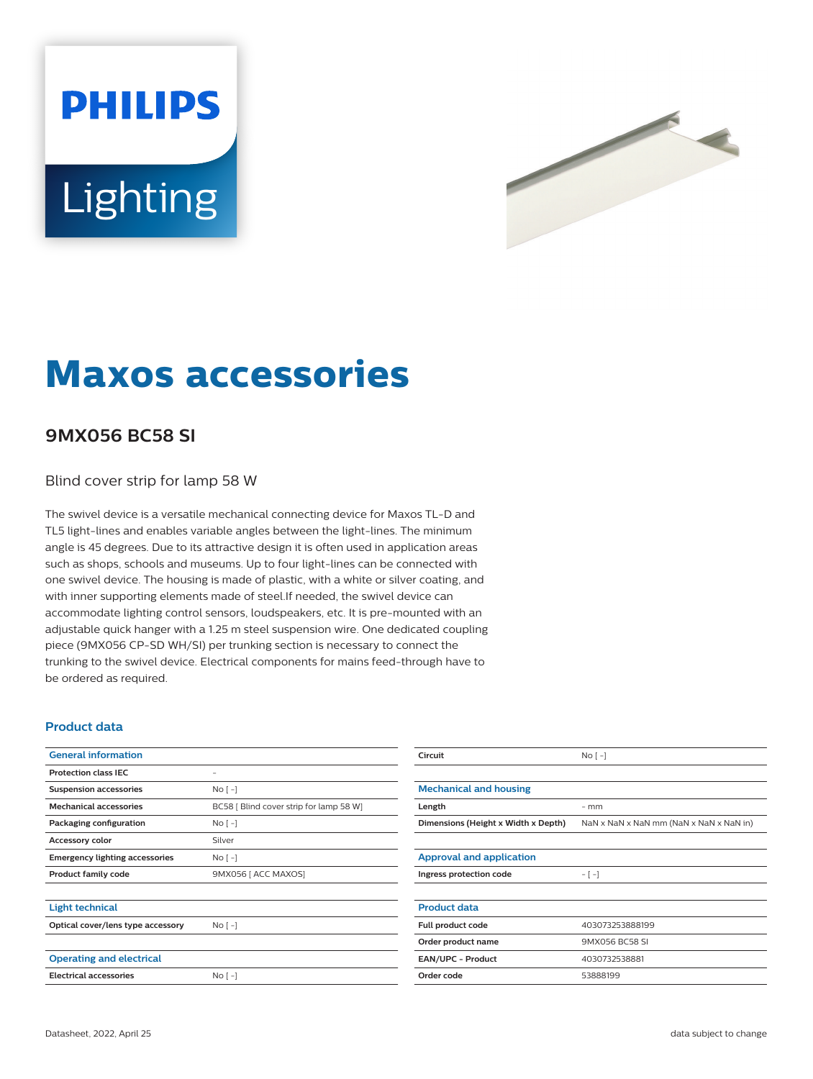# **PHILIPS Lighting**



# **Maxos accessories**

## **9MX056 BC58 SI**

Blind cover strip for lamp 58 W

The swivel device is a versatile mechanical connecting device for Maxos TL-D and TL5 light-lines and enables variable angles between the light-lines. The minimum angle is 45 degrees. Due to its attractive design it is often used in application areas such as shops, schools and museums. Up to four light-lines can be connected with one swivel device. The housing is made of plastic, with a white or silver coating, and with inner supporting elements made of steel.If needed, the swivel device can accommodate lighting control sensors, loudspeakers, etc. It is pre-mounted with an adjustable quick hanger with a 1.25 m steel suspension wire. One dedicated coupling piece (9MX056 CP-SD WH/SI) per trunking section is necessary to connect the trunking to the swivel device. Electrical components for mains feed-through have to be ordered as required.

#### **Product data**

| <b>General information</b>            |                                         | Circuit                         |
|---------------------------------------|-----------------------------------------|---------------------------------|
| <b>Protection class IEC</b>           | ۰                                       |                                 |
| <b>Suspension accessories</b>         | $N$ o $\lceil - \rceil$                 | <b>Mechanical and housing</b>   |
| <b>Mechanical accessories</b>         | BC58 [ Blind cover strip for lamp 58 W] | Length                          |
| Packaging configuration               | No <sub>1</sub>                         | Dimensions (Height x Width x    |
| <b>Accessory color</b>                | Silver                                  |                                 |
| <b>Emergency lighting accessories</b> | $NQ$ [ -]                               | <b>Approval and application</b> |
| <b>Product family code</b>            | 9MX056   ACC MAXOS]                     | Ingress protection code         |
| <b>Light technical</b>                |                                         | <b>Product data</b>             |
| Optical cover/lens type accessory     | No <sub>1</sub>                         | Full product code               |
|                                       |                                         | Order product name              |
| <b>Operating and electrical</b>       |                                         | EAN/UPC - Product               |
| <b>Electrical accessories</b>         | $No[-]$                                 | Order code                      |
|                                       |                                         |                                 |

| Circuit                             | $No [-]$                                |  |  |  |
|-------------------------------------|-----------------------------------------|--|--|--|
|                                     |                                         |  |  |  |
| <b>Mechanical and housing</b>       |                                         |  |  |  |
| Length                              | $-$ mm                                  |  |  |  |
| Dimensions (Height x Width x Depth) | NaN x NaN x NaN mm (NaN x NaN x NaN in) |  |  |  |
|                                     |                                         |  |  |  |
| <b>Approval and application</b>     |                                         |  |  |  |
| Ingress protection code             | $-[-]$                                  |  |  |  |
|                                     |                                         |  |  |  |
| <b>Product data</b>                 |                                         |  |  |  |
| Full product code                   | 403073253888199                         |  |  |  |
| Order product name                  | 9MX056 BC58 SL                          |  |  |  |
| <b>EAN/UPC - Product</b>            | 4030732538881                           |  |  |  |
| Order code                          | 53888199                                |  |  |  |
|                                     |                                         |  |  |  |